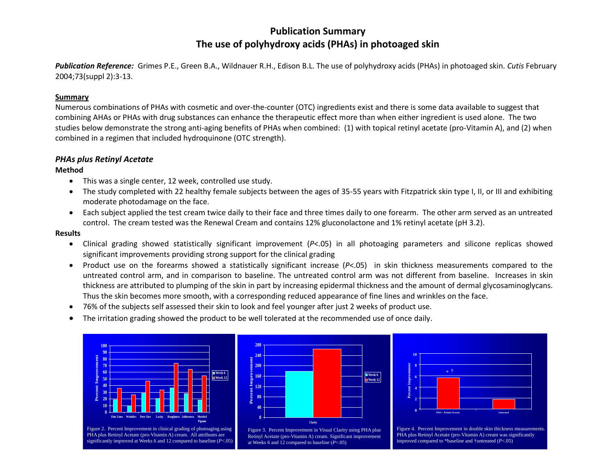# **Publication Summary The use of polyhydroxy acids (PHAs) in photoaged skin**

*Publication Reference:* Grimes P.E., Green B.A., Wildnauer R.H., Edison B.L. The use of polyhydroxy acids (PHAs) in photoaged skin. *Cutis* February 2004;73(suppl 2):3-13.

## **Summary**

Numerous combinations of PHAs with cosmetic and over-the-counter (OTC) ingredients exist and there is some data available to suggest that combining AHAs or PHAs with drug substances can enhance the therapeutic effect more than when either ingredient is used alone. The two studies below demonstrate the strong anti-aging benefits of PHAs when combined: (1) with topical retinyl acetate (pro-Vitamin A), and (2) when combined in a regimen that included hydroquinone (OTC strength).

# *PHAs plus Retinyl Acetate*

#### **Method**

- This was a single center, 12 week, controlled use study.
- The study completed with 22 healthy female subjects between the ages of 35-55 years with Fitzpatrick skin type I, II, or III and exhibiting moderate photodamage on the face.
- Each subject applied the test cream twice daily to their face and three times daily to one forearm. The other arm served as an untreated control. The cream tested was the Renewal Cream and contains 12% gluconolactone and 1% retinyl acetate (pH 3.2).

#### **Results**

- Clinical grading showed statistically significant improvement (*P*<.05) in all photoaging parameters and silicone replicas showed significant improvements providing strong support for the clinical grading
- Product use on the forearms showed a statistically significant increase (*P*<.05) in skin thickness measurements compared to the untreated control arm, and in comparison to baseline. The untreated control arm was not different from baseline. Increases in skin thickness are attributed to plumping of the skin in part by increasing epidermal thickness and the amount of dermal glycosaminoglycans. Thus the skin becomes more smooth, with a corresponding reduced appearance of fine lines and wrinkles on the face.
- 76% of the subjects self assessed their skin to look and feel younger after just 2 weeks of product use.
- The irritation grading showed the product to be well tolerated at the recommended use of once daily.





Figure 3. Percent Improvement in Visual Clarity using PHA plus Retinyl Acetate (pro-Vitamin A) cream. Significant improvement



Figure 4. Percent Improvement in double skin thickness measurements. PHA plus Retinyl Acetate (pro-Vitamin A) cream was significantly improved compared to \*baseline and †untreated (*P*<.05)